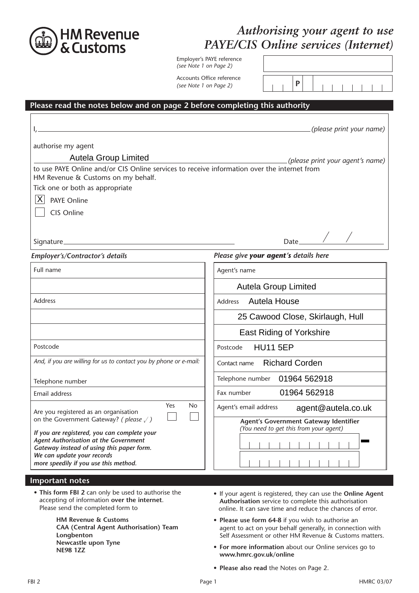

# *Authorising your agent to use PAYE/CIS Online services (Internet)*

*g (see Note 1 on Page 2)*  Employer's PAYE reference

*g* (see Note 1 on Page 2)  $\vert \vert \vert \vert \vert \vert \vert \vert \mathbf{P}$ Accounts Office reference

#### **Please read the notes below and on page 2 before completing this authority**

|                                                                                                                                                  | (please print your name)                                                                                                                                                          |
|--------------------------------------------------------------------------------------------------------------------------------------------------|-----------------------------------------------------------------------------------------------------------------------------------------------------------------------------------|
| authorise my agent<br><b>Autela Group Limited</b><br>to use PAYE Online and/or CIS Online services to receive information over the internet from | (please print your agent's name)                                                                                                                                                  |
| HM Revenue & Customs on my behalf.                                                                                                               |                                                                                                                                                                                   |
| Tick one or both as appropriate                                                                                                                  |                                                                                                                                                                                   |
| $\vert X \vert$<br><b>PAYE Online</b>                                                                                                            |                                                                                                                                                                                   |
| CIS Online                                                                                                                                       |                                                                                                                                                                                   |
|                                                                                                                                                  | Date $\angle$ /                                                                                                                                                                   |
| Employer's/Contractor's details                                                                                                                  | Please give your agent's details here                                                                                                                                             |
| Full name                                                                                                                                        | Agent's name                                                                                                                                                                      |
|                                                                                                                                                  | <b>Autela Group Limited</b>                                                                                                                                                       |
| <b>Address</b>                                                                                                                                   | <b>Autela House</b><br>Address                                                                                                                                                    |
|                                                                                                                                                  | 25 Cawood Close, Skirlaugh, Hull                                                                                                                                                  |
|                                                                                                                                                  | <b>East Riding of Yorkshire</b>                                                                                                                                                   |
| Postcode                                                                                                                                         | <b>HU11 5EP</b><br>Postcode                                                                                                                                                       |
| And, if you are willing for us to contact you by phone or e-mail:                                                                                | Contact name Richard Corden                                                                                                                                                       |
| Telephone number                                                                                                                                 | Telephone number 01964 562918                                                                                                                                                     |
| Email address                                                                                                                                    | 01964 562918<br>Fax number                                                                                                                                                        |
| Yes<br><b>No</b><br>Are you registered as an organisation                                                                                        | Agent's email address<br>agent@autela.co.uk                                                                                                                                       |
| on the Government Gateway? (please $\sqrt{}$ )                                                                                                   | Agent's Government Gateway Identifier<br>(You need to get this from your agent)                                                                                                   |
| If you are registered, you can complete your<br>Agent Authorisation at the Government                                                            |                                                                                                                                                                                   |
| Gateway instead of using this paper form.<br>We can update your records                                                                          |                                                                                                                                                                                   |
| more speedily if you use this method.                                                                                                            |                                                                                                                                                                                   |
| Important notes                                                                                                                                  |                                                                                                                                                                                   |
| . This form FBI 2 can only be used to authorise the<br>accepting of information over the internet.<br>Please send the completed form to          | • If your agent is registered, they can use the Online Agent<br>Authorisation service to complete this authorisation<br>online. It can save time and reduce the chances of error. |
| <b>HM Revenue &amp; Customs</b><br>CAA (Central Agent Authorisation) Team<br>Longbenton<br>Newcastle upon Tyne<br><b>NE98 1ZZ</b>                | • Please use form 64-8 if you wish to authorise an<br>agent to act on your behalf generally, in connection with<br>Self Assessment or other HM Revenue & Customs matters.         |
|                                                                                                                                                  | • For more information about our Online services go to<br>www.hmrc.gov.uk/online                                                                                                  |
|                                                                                                                                                  | • Please also read the Notes on Page 2.                                                                                                                                           |
| FBI 2                                                                                                                                            | <b>HMRC 03/07</b><br>Page 1                                                                                                                                                       |

### **Iportant note**:

- If your agent is registered, they can use the **Online Agent Authorisation** service to complete this authorisation online. It can save time and reduce the chances of error.
- **Please use form 64-8** if you wish to authorise an agent to act on your behalf generally, in connection with Self Assessment or other HM Revenue & Customs matters.
- **For more information** about our Online services go to **www.hmrc.gov.uk/online**
- **Please also read** the Notes on Page 2.